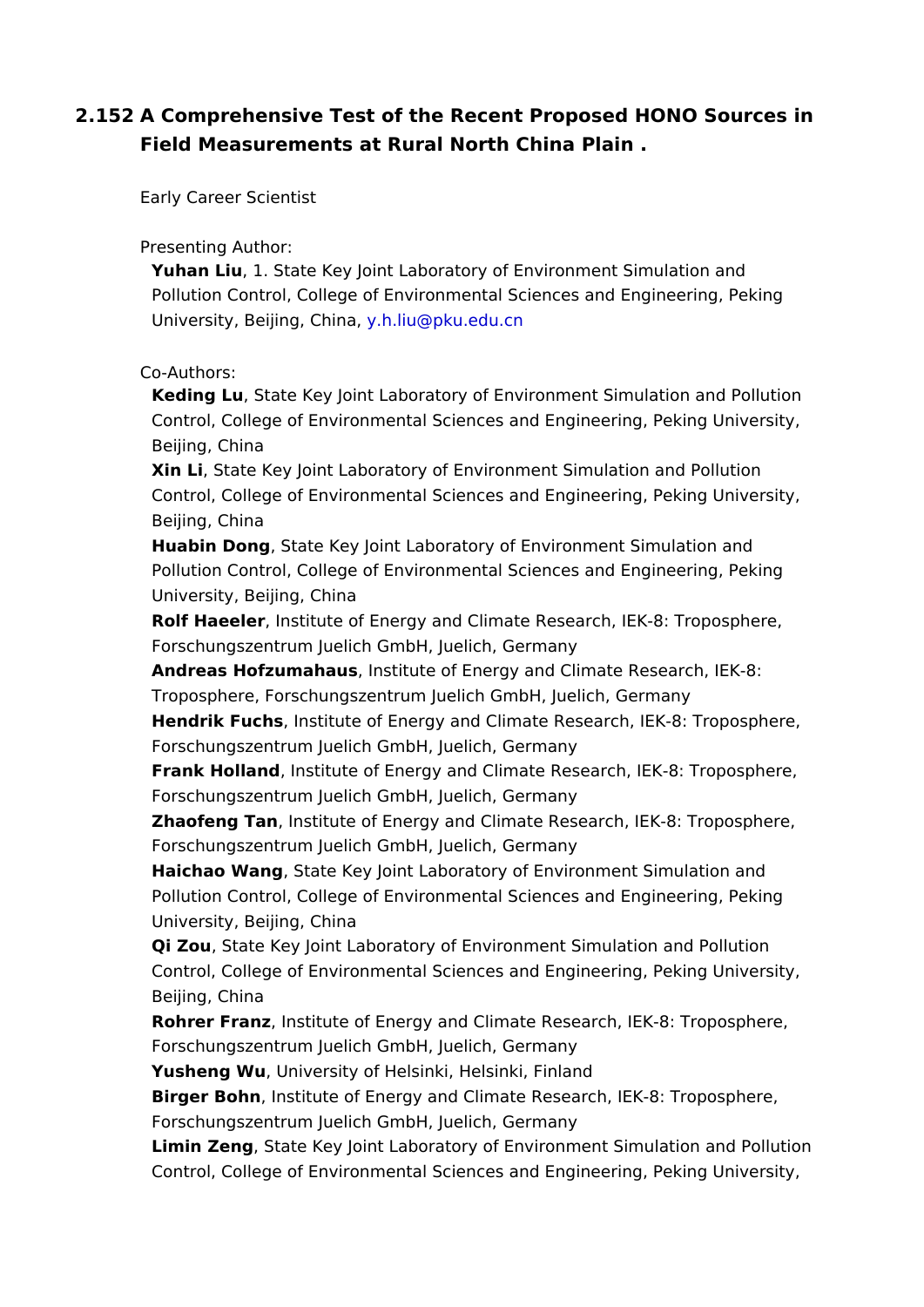2.152A Comprehensive Test of the Recent Proposed HONO Sources Field Measurements at Rural North China Plain .

Early Career Scientist

Presenting Author:

Yuhan Lju1. State Key Joint Laboratory of Environment Simulation an Pollution Control, College of Environmental Sciences and Engineerin University, Beijingy. Chilina@pku.edu.cn

Co-Authors:

Keding LuState Ke[y Joint Labora](mailto:y.h.liu@pku.edu.cn)tory of Environment Simulation and Control, College of Environmental Sciences and Engineering, Peking Beijing, China

Xin Li State Key Joint Laboratory of Environment Simulation and Poll Control, College of Environmental Sciences and Engineering, Peking Beijing, China

Huabin DongState Key Joint Laboratory of Environment Simulation an Pollution Control, College of Environmental Sciences and Engineerin University, Beijing, China

Rolf Haeelelrnstitute of Energy and Climate Research, IEK-8: Troposp Forschungszentrum Juelich GmbH, Juelich, Germany

Andreas Hofzumah, aunsstitute of Energy and Climate Research, IEK-8: Troposphere, Forschungszentrum Juelich GmbH, Juelich, Germany

Hendrik Fuchs hat itute of Energy and Climate Research, IEK-8: Tropo Forschungszentrum Juelich GmbH, Juelich, Germany

Frank Holla, n dn stitute of Energy and Climate Research, IEK-8: Tropos Forschungszentrum Juelich GmbH, Juelich, Germany

Zhaofeng Tamnstitute of Energy and Climate Research, IEK-8: Tropos Forschungszentrum Juelich GmbH, Juelich, Germany

Haichao Wan State Key Joint Laboratory of Environment Simulation a Pollution Control, College of Environmental Sciences and Engineerin University, Beijing, China

Qi Zo,u State Key Joint Laboratory of Environment Simulation and Pol Control, College of Environmental Sciences and Engineering, Peking Beijing, China

Rohrer Frant enstitute of Energy and Climate Research, IEK-8: Tropos Forschungszentrum Juelich GmbH, Juelich, Germany

Yusheng WuUniversity of Helsinki, Helsinki, Finland

Birger Bohnnstitute of Energy and Climate Research, IEK-8: Troposp Forschungszentrum Juelich GmbH, Juelich, Germany

Limin ZengState Key Joint Laboratory of Environment Simulation and Control, College of Environmental Sciences and Engineering, Peking